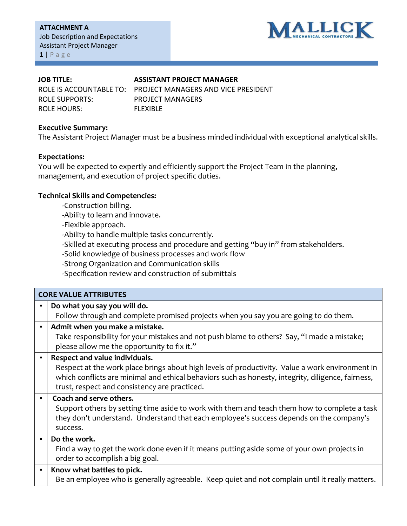

## **JOB TITLE: ASSISTANT PROJECT MANAGER**

ROLE SUPPORTS: PROJECT MANAGERS ROLE HOURS: FLEXIBLE

ROLE IS ACCOUNTABLE TO: PROJECT MANAGERS AND VICE PRESIDENT

## **Executive Summary:**

The Assistant Project Manager must be a business minded individual with exceptional analytical skills.

## **Expectations:**

You will be expected to expertly and efficiently support the Project Team in the planning, management, and execution of project specific duties.

## **Technical Skills and Competencies:**

-Construction billing.

-Ability to learn and innovate.

-Flexible approach.

-Ability to handle multiple tasks concurrently.

-Skilled at executing process and procedure and getting "buy in" from stakeholders.

-Solid knowledge of business processes and work flow

-Strong Organization and Communication skills

-Specification review and construction of submittals

|                | <b>CORE VALUE ATTRIBUTES</b>                                                                                                                                                                                                                                                             |
|----------------|------------------------------------------------------------------------------------------------------------------------------------------------------------------------------------------------------------------------------------------------------------------------------------------|
| $\blacksquare$ | Do what you say you will do.<br>Follow through and complete promised projects when you say you are going to do them.                                                                                                                                                                     |
| $\blacksquare$ | Admit when you make a mistake.<br>Take responsibility for your mistakes and not push blame to others? Say, "I made a mistake;<br>please allow me the opportunity to fix it."                                                                                                             |
| $\blacksquare$ | Respect and value individuals.<br>Respect at the work place brings about high levels of productivity. Value a work environment in<br>which conflicts are minimal and ethical behaviors such as honesty, integrity, diligence, fairness,<br>trust, respect and consistency are practiced. |
| $\blacksquare$ | Coach and serve others.<br>Support others by setting time aside to work with them and teach them how to complete a task<br>they don't understand. Understand that each employee's success depends on the company's<br>success.                                                           |
| $\blacksquare$ | Do the work.<br>Find a way to get the work done even if it means putting aside some of your own projects in<br>order to accomplish a big goal.                                                                                                                                           |
| $\blacksquare$ | Know what battles to pick.<br>Be an employee who is generally agreeable. Keep quiet and not complain until it really matters.                                                                                                                                                            |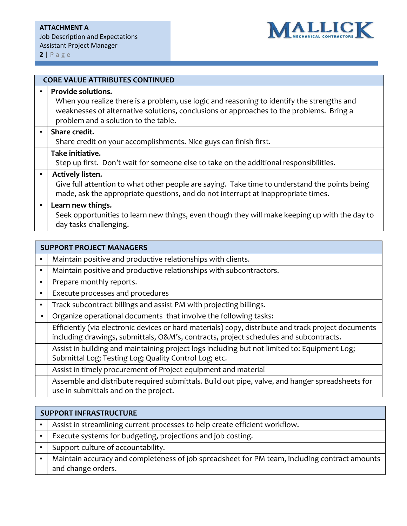

|                | <b>CORE VALUE ATTRIBUTES CONTINUED</b>                                                                                                                                                                                                              |  |
|----------------|-----------------------------------------------------------------------------------------------------------------------------------------------------------------------------------------------------------------------------------------------------|--|
| $\blacksquare$ | Provide solutions.<br>When you realize there is a problem, use logic and reasoning to identify the strengths and<br>weaknesses of alternative solutions, conclusions or approaches to the problems. Bring a<br>problem and a solution to the table. |  |
| $\blacksquare$ | Share credit.<br>Share credit on your accomplishments. Nice guys can finish first.                                                                                                                                                                  |  |
|                | Take initiative.<br>Step up first. Don't wait for someone else to take on the additional responsibilities.                                                                                                                                          |  |
| $\blacksquare$ | Actively listen.<br>Give full attention to what other people are saying. Take time to understand the points being<br>made, ask the appropriate questions, and do not interrupt at inappropriate times.                                              |  |
| $\blacksquare$ | Learn new things.<br>Seek opportunities to learn new things, even though they will make keeping up with the day to<br>day tasks challenging.                                                                                                        |  |

| <b>SUPPORT PROJECT MANAGERS</b> |                                                                                                                                                                                              |
|---------------------------------|----------------------------------------------------------------------------------------------------------------------------------------------------------------------------------------------|
| $\blacksquare$                  | Maintain positive and productive relationships with clients.                                                                                                                                 |
| $\blacksquare$                  | Maintain positive and productive relationships with subcontractors.                                                                                                                          |
| $\blacksquare$                  | Prepare monthly reports.                                                                                                                                                                     |
| $\blacksquare$                  | Execute processes and procedures                                                                                                                                                             |
| ٠                               | Track subcontract billings and assist PM with projecting billings.                                                                                                                           |
|                                 | Organize operational documents that involve the following tasks:                                                                                                                             |
|                                 | Efficiently (via electronic devices or hard materials) copy, distribute and track project documents<br>including drawings, submittals, O&M's, contracts, project schedules and subcontracts. |
|                                 | Assist in building and maintaining project logs including but not limited to: Equipment Log;<br>Submittal Log; Testing Log; Quality Control Log; etc.                                        |
|                                 | Assist in timely procurement of Project equipment and material                                                                                                                               |
|                                 | Assemble and distribute required submittals. Build out pipe, valve, and hanger spreadsheets for<br>use in submittals and on the project.                                                     |

| <b>SUPPORT INFRASTRUCTURE</b>                                                                                       |  |
|---------------------------------------------------------------------------------------------------------------------|--|
| Assist in streamlining current processes to help create efficient workflow.                                         |  |
| Execute systems for budgeting, projections and job costing.                                                         |  |
| Support culture of accountability.                                                                                  |  |
| Maintain accuracy and completeness of job spreadsheet for PM team, including contract amounts<br>and change orders. |  |
|                                                                                                                     |  |